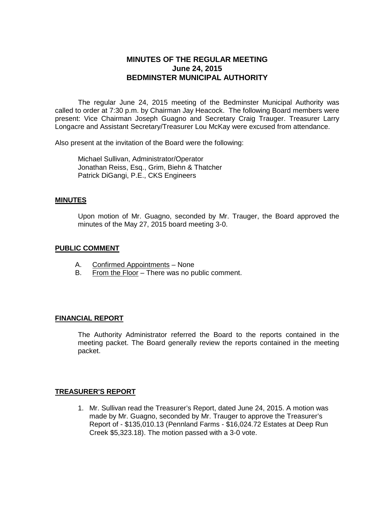# **MINUTES OF THE REGULAR MEETING June 24, 2015 BEDMINSTER MUNICIPAL AUTHORITY**

The regular June 24, 2015 meeting of the Bedminster Municipal Authority was called to order at 7:30 p.m. by Chairman Jay Heacock. The following Board members were present: Vice Chairman Joseph Guagno and Secretary Craig Trauger. Treasurer Larry Longacre and Assistant Secretary/Treasurer Lou McKay were excused from attendance.

Also present at the invitation of the Board were the following:

Michael Sullivan, Administrator/Operator Jonathan Reiss, Esq., Grim, Biehn & Thatcher Patrick DiGangi, P.E., CKS Engineers

### **MINUTES**

Upon motion of Mr. Guagno, seconded by Mr. Trauger, the Board approved the minutes of the May 27, 2015 board meeting 3-0.

### **PUBLIC COMMENT**

- A. Confirmed Appointments None
- B. From the Floor There was no public comment.

### **FINANCIAL REPORT**

The Authority Administrator referred the Board to the reports contained in the meeting packet. The Board generally review the reports contained in the meeting packet.

### **TREASURER'S REPORT**

1. Mr. Sullivan read the Treasurer's Report, dated June 24, 2015. A motion was made by Mr. Guagno, seconded by Mr. Trauger to approve the Treasurer's Report of - \$135,010.13 (Pennland Farms - \$16,024.72 Estates at Deep Run Creek \$5,323.18). The motion passed with a 3-0 vote.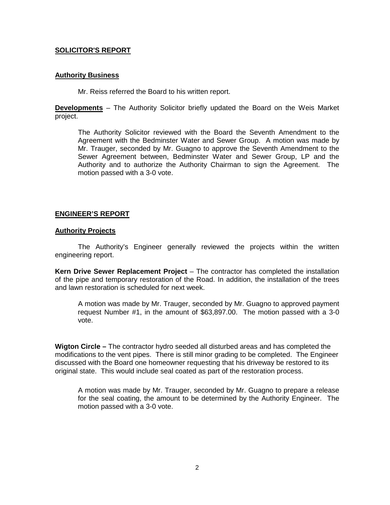## **SOLICITOR'S REPORT**

## **Authority Business**

Mr. Reiss referred the Board to his written report.

**Developments** – The Authority Solicitor briefly updated the Board on the Weis Market project.

The Authority Solicitor reviewed with the Board the Seventh Amendment to the Agreement with the Bedminster Water and Sewer Group. A motion was made by Mr. Trauger, seconded by Mr. Guagno to approve the Seventh Amendment to the Sewer Agreement between, Bedminster Water and Sewer Group, LP and the Authority and to authorize the Authority Chairman to sign the Agreement. The motion passed with a 3-0 vote.

## **ENGINEER'S REPORT**

### **Authority Projects**

The Authority's Engineer generally reviewed the projects within the written engineering report.

**Kern Drive Sewer Replacement Project** – The contractor has completed the installation of the pipe and temporary restoration of the Road. In addition, the installation of the trees and lawn restoration is scheduled for next week.

A motion was made by Mr. Trauger, seconded by Mr. Guagno to approved payment request Number #1, in the amount of \$63,897.00. The motion passed with a 3-0 vote.

**Wigton Circle –** The contractor hydro seeded all disturbed areas and has completed the modifications to the vent pipes. There is still minor grading to be completed. The Engineer discussed with the Board one homeowner requesting that his driveway be restored to its original state. This would include seal coated as part of the restoration process.

A motion was made by Mr. Trauger, seconded by Mr. Guagno to prepare a release for the seal coating, the amount to be determined by the Authority Engineer. The motion passed with a 3-0 vote.